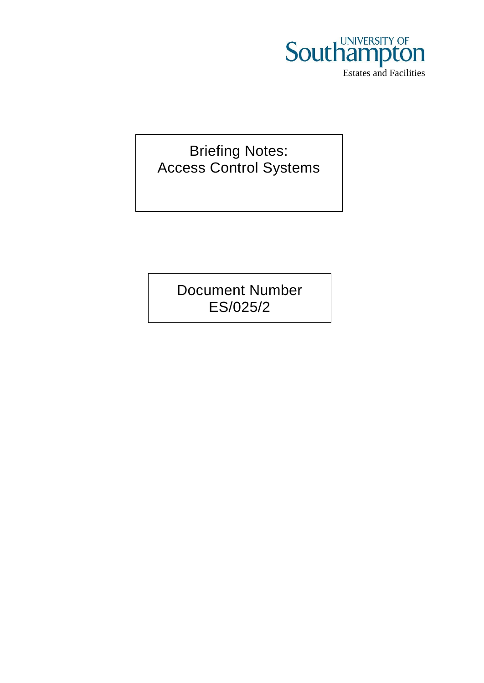

Briefing Notes: Access Control Systems

> Document Number ES/025/2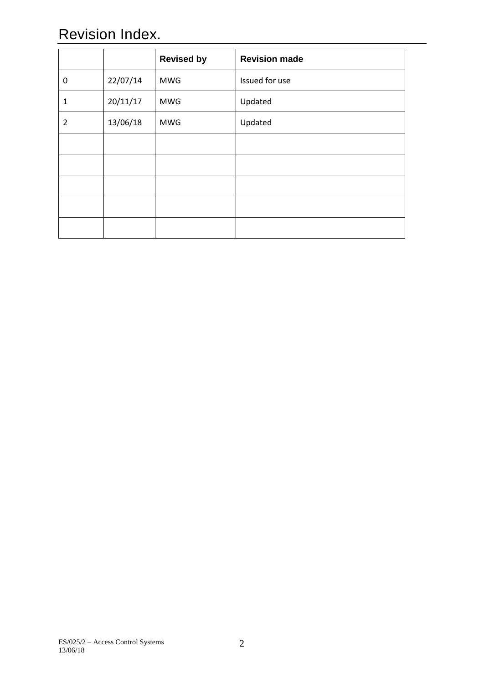# Revision Index.

|                |          | <b>Revised by</b> | <b>Revision made</b> |
|----------------|----------|-------------------|----------------------|
| 0              | 22/07/14 | <b>MWG</b>        | Issued for use       |
| $\mathbf{1}$   | 20/11/17 | <b>MWG</b>        | Updated              |
| $\overline{2}$ | 13/06/18 | <b>MWG</b>        | Updated              |
|                |          |                   |                      |
|                |          |                   |                      |
|                |          |                   |                      |
|                |          |                   |                      |
|                |          |                   |                      |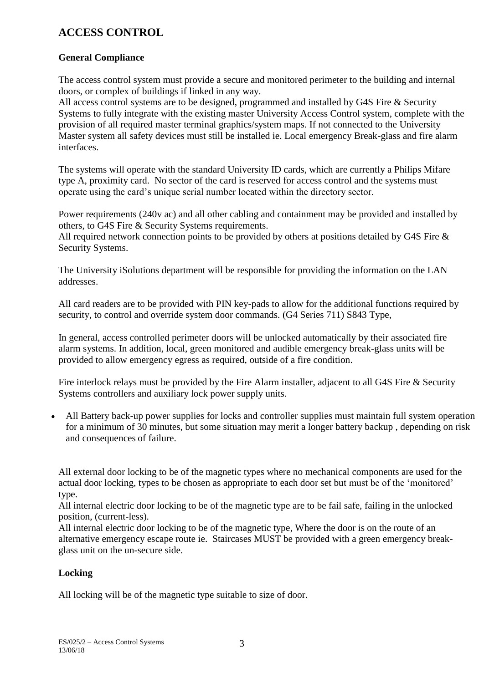# **ACCESS CONTROL**

# **General Compliance**

The access control system must provide a secure and monitored perimeter to the building and internal doors, or complex of buildings if linked in any way.

All access control systems are to be designed, programmed and installed by G4S Fire & Security Systems to fully integrate with the existing master University Access Control system, complete with the provision of all required master terminal graphics/system maps. If not connected to the University Master system all safety devices must still be installed ie. Local emergency Break-glass and fire alarm interfaces.

The systems will operate with the standard University ID cards, which are currently a Philips Mifare type A, proximity card. No sector of the card is reserved for access control and the systems must operate using the card's unique serial number located within the directory sector.

Power requirements (240v ac) and all other cabling and containment may be provided and installed by others, to G4S Fire & Security Systems requirements.

All required network connection points to be provided by others at positions detailed by G4S Fire & Security Systems.

The University iSolutions department will be responsible for providing the information on the LAN addresses.

All card readers are to be provided with PIN key-pads to allow for the additional functions required by security, to control and override system door commands. (G4 Series 711) S843 Type,

In general, access controlled perimeter doors will be unlocked automatically by their associated fire alarm systems. In addition, local, green monitored and audible emergency break-glass units will be provided to allow emergency egress as required, outside of a fire condition.

Fire interlock relays must be provided by the Fire Alarm installer, adjacent to all G4S Fire & Security Systems controllers and auxiliary lock power supply units.

 All Battery back-up power supplies for locks and controller supplies must maintain full system operation for a minimum of 30 minutes, but some situation may merit a longer battery backup , depending on risk and consequences of failure.

All external door locking to be of the magnetic types where no mechanical components are used for the actual door locking, types to be chosen as appropriate to each door set but must be of the 'monitored' type.

All internal electric door locking to be of the magnetic type are to be fail safe, failing in the unlocked position, (current-less).

All internal electric door locking to be of the magnetic type, Where the door is on the route of an alternative emergency escape route ie. Staircases MUST be provided with a green emergency breakglass unit on the un-secure side.

# **Locking**

All locking will be of the magnetic type suitable to size of door.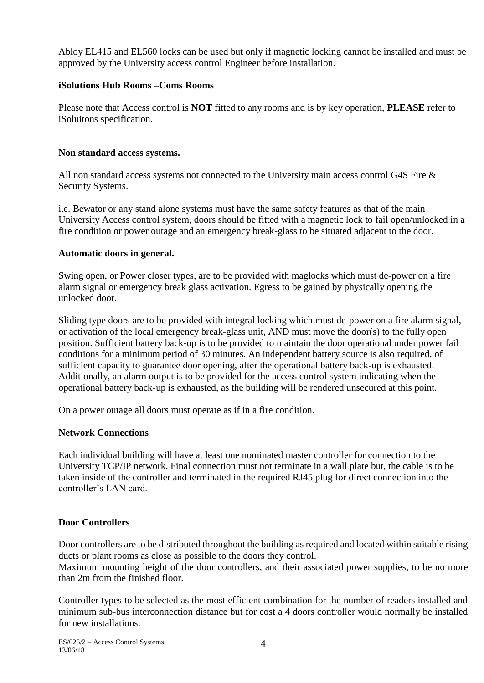Abloy EL415 and EL560 locks can be used but only if magnetic locking cannot be installed and must be approved by the University access control Engineer before installation.

# **iSolutions Hub Rooms –Coms Rooms**

Please note that Access control is **NOT** fitted to any rooms and is by key operation, **PLEASE** refer to iSoluitons specification.

# **Non standard access systems.**

All non standard access systems not connected to the University main access control G4S Fire & Security Systems.

i.e. Bewator or any stand alone systems must have the same safety features as that of the main University Access control system, doors should be fitted with a magnetic lock to fail open/unlocked in a fire condition or power outage and an emergency break-glass to be situated adjacent to the door.

# **Automatic doors in general.**

Swing open, or Power closer types, are to be provided with maglocks which must de-power on a fire alarm signal or emergency break glass activation. Egress to be gained by physically opening the unlocked door.

Sliding type doors are to be provided with integral locking which must de-power on a fire alarm signal, or activation of the local emergency break-glass unit, AND must move the door(s) to the fully open position. Sufficient battery back-up is to be provided to maintain the door operational under power fail conditions for a minimum period of 30 minutes. An independent battery source is also required, of sufficient capacity to guarantee door opening, after the operational battery back-up is exhausted. Additionally, an alarm output is to be provided for the access control system indicating when the operational battery back-up is exhausted, as the building will be rendered unsecured at this point.

On a power outage all doors must operate as if in a fire condition.

# **Network Connections**

Each individual building will have at least one nominated master controller for connection to the University TCP/IP network. Final connection must not terminate in a wall plate but, the cable is to be taken inside of the controller and terminated in the required RJ45 plug for direct connection into the controller's LAN card.

# **Door Controllers**

Door controllers are to be distributed throughout the building as required and located within suitable rising ducts or plant rooms as close as possible to the doors they control.

Maximum mounting height of the door controllers, and their associated power supplies, to be no more than 2m from the finished floor.

Controller types to be selected as the most efficient combination for the number of readers installed and minimum sub-bus interconnection distance but for cost a 4 doors controller would normally be installed for new installations.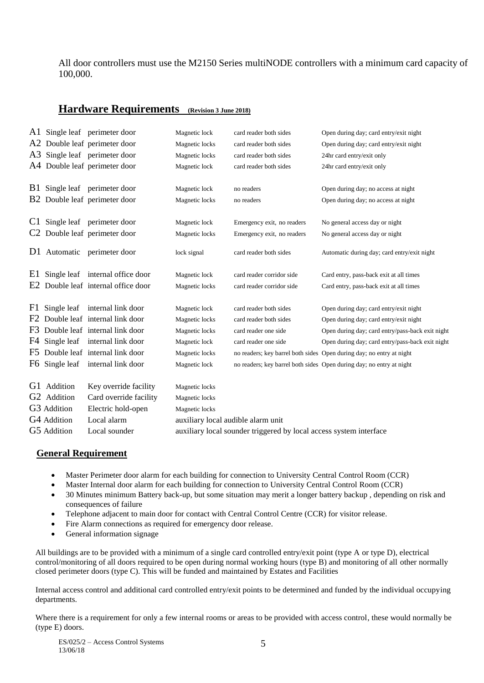All door controllers must use the M2150 Series multiNODE controllers with a minimum card capacity of 100,000.

# **Hardware Requirements (Revision 3 June 2018)**

|                |                         | A1 Single leaf perimeter door     | Magnetic lock                                                      | card reader both sides     | Open during day; card entry/exit night                               |  |  |
|----------------|-------------------------|-----------------------------------|--------------------------------------------------------------------|----------------------------|----------------------------------------------------------------------|--|--|
|                |                         | A2 Double leaf perimeter door     | Magnetic locks                                                     | card reader both sides     | Open during day; card entry/exit night                               |  |  |
|                |                         | A3 Single leaf perimeter door     | Magnetic locks                                                     | card reader both sides     | 24hr card entry/exit only                                            |  |  |
|                |                         | A4 Double leaf perimeter door     | Magnetic lock                                                      | card reader both sides     | 24hr card entry/exit only                                            |  |  |
| <b>B</b> 1     |                         | Single leaf perimeter door        | Magnetic lock                                                      | no readers                 | Open during day; no access at night                                  |  |  |
|                |                         | B2 Double leaf perimeter door     | Magnetic locks                                                     | no readers                 | Open during day; no access at night                                  |  |  |
|                |                         |                                   |                                                                    |                            |                                                                      |  |  |
|                |                         | C1 Single leaf perimeter door     | Magnetic lock                                                      | Emergency exit, no readers | No general access day or night                                       |  |  |
|                |                         | Double leaf perimeter door        | Magnetic locks                                                     | Emergency exit, no readers | No general access day or night                                       |  |  |
|                |                         | D1 Automatic perimeter door       | lock signal                                                        | card reader both sides     | Automatic during day; card entry/exit night                          |  |  |
| E1             |                         | Single leaf internal office door  | Magnetic lock                                                      | card reader corridor side  | Card entry, pass-back exit at all times                              |  |  |
| E <sub>2</sub> |                         | Double leaf internal office door  | Magnetic locks                                                     | card reader corridor side  | Card entry, pass-back exit at all times                              |  |  |
| F1             |                         | Single leaf internal link door    | Magnetic lock                                                      | card reader both sides     | Open during day; card entry/exit night                               |  |  |
| F <sub>2</sub> |                         | Double leaf internal link door    | Magnetic locks                                                     | card reader both sides     | Open during day; card entry/exit night                               |  |  |
|                |                         | F3 Double leaf internal link door | Magnetic locks                                                     | card reader one side       | Open during day; card entry/pass-back exit night                     |  |  |
|                | F4 Single leaf          | internal link door                | Magnetic lock                                                      | card reader one side       | Open during day; card entry/pass-back exit night                     |  |  |
|                |                         | F5 Double leaf internal link door | Magnetic locks                                                     |                            | no readers; key barrel both sides Open during day; no entry at night |  |  |
|                | F6 Single leaf          | internal link door                | Magnetic lock                                                      |                            | no readers; key barrel both sides Open during day; no entry at night |  |  |
|                | G1 Addition             | Key override facility             | Magnetic locks                                                     |                            |                                                                      |  |  |
|                | G <sub>2</sub> Addition | Card override facility            | Magnetic locks                                                     |                            |                                                                      |  |  |
|                | G3 Addition             | Electric hold-open                | Magnetic locks                                                     |                            |                                                                      |  |  |
|                | G4 Addition             | Local alarm                       | auxiliary local audible alarm unit                                 |                            |                                                                      |  |  |
|                | G5 Addition             | Local sounder                     | auxiliary local sounder triggered by local access system interface |                            |                                                                      |  |  |

# **General Requirement**

- Master Perimeter door alarm for each building for connection to University Central Control Room (CCR)
- Master Internal door alarm for each building for connection to University Central Control Room (CCR)
- 30 Minutes minimum Battery back-up, but some situation may merit a longer battery backup, depending on risk and consequences of failure
- Telephone adjacent to main door for contact with Central Control Centre (CCR) for visitor release.
- Fire Alarm connections as required for emergency door release.
- General information signage

All buildings are to be provided with a minimum of a single card controlled entry/exit point (type A or type D), electrical control/monitoring of all doors required to be open during normal working hours (type B) and monitoring of all other normally closed perimeter doors (type C). This will be funded and maintained by Estates and Facilities

Internal access control and additional card controlled entry/exit points to be determined and funded by the individual occupying departments.

Where there is a requirement for only a few internal rooms or areas to be provided with access control, these would normally be (type E) doors.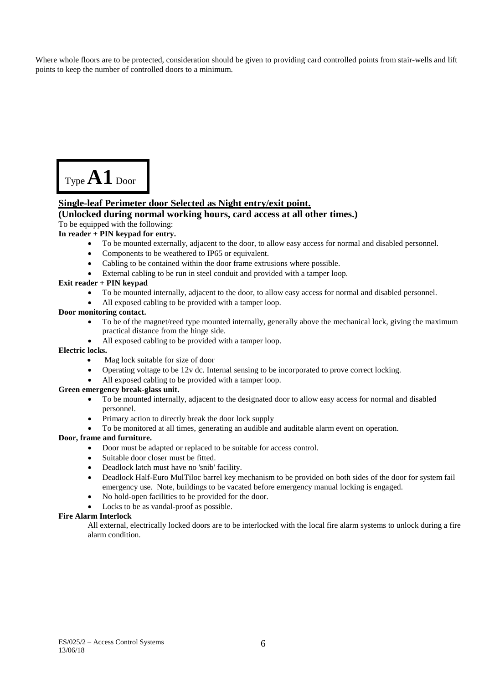Where whole floors are to be protected, consideration should be given to providing card controlled points from stair-wells and lift points to keep the number of controlled doors to a minimum.



## **Single-leaf Perimeter door Selected as Night entry/exit point.**

#### **(Unlocked during normal working hours, card access at all other times.)** To be equipped with the following:

## **In reader + PIN keypad for entry.**

- To be mounted externally, adjacent to the door, to allow easy access for normal and disabled personnel.
- Components to be weathered to IP65 or equivalent.
- Cabling to be contained within the door frame extrusions where possible.
- External cabling to be run in steel conduit and provided with a tamper loop.

#### **Exit reader + PIN keypad**

- To be mounted internally, adjacent to the door, to allow easy access for normal and disabled personnel.
- All exposed cabling to be provided with a tamper loop.

#### **Door monitoring contact.**

- To be of the magnet/reed type mounted internally, generally above the mechanical lock, giving the maximum practical distance from the hinge side.
- All exposed cabling to be provided with a tamper loop.

#### **Electric locks.**

- Mag lock suitable for size of door
- Operating voltage to be 12v dc. Internal sensing to be incorporated to prove correct locking.
- All exposed cabling to be provided with a tamper loop.

#### **Green emergency break-glass unit.**

- To be mounted internally, adjacent to the designated door to allow easy access for normal and disabled personnel.
- Primary action to directly break the door lock supply
- To be monitored at all times, generating an audible and auditable alarm event on operation.

#### **Door, frame and furniture.**

- Door must be adapted or replaced to be suitable for access control.
- Suitable door closer must be fitted.
- Deadlock latch must have no 'snib' facility.
- Deadlock Half-Euro MulTiloc barrel key mechanism to be provided on both sides of the door for system fail emergency use. Note, buildings to be vacated before emergency manual locking is engaged.
- No hold-open facilities to be provided for the door.
- Locks to be as vandal-proof as possible.

#### **Fire Alarm Interlock**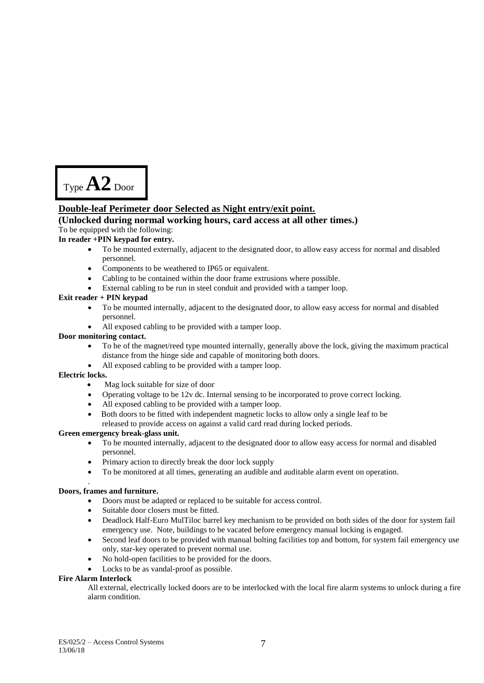

## **Double-leaf Perimeter door Selected as Night entry/exit point.**

## **(Unlocked during normal working hours, card access at all other times.)**

#### To be equipped with the following:

#### **In reader +PIN keypad for entry.**

- To be mounted externally, adjacent to the designated door, to allow easy access for normal and disabled personnel.
- Components to be weathered to IP65 or equivalent.
- Cabling to be contained within the door frame extrusions where possible.
- External cabling to be run in steel conduit and provided with a tamper loop.

#### **Exit reader + PIN keypad**

- To be mounted internally, adjacent to the designated door, to allow easy access for normal and disabled personnel.
- All exposed cabling to be provided with a tamper loop.

#### **Door monitoring contact.**

- To be of the magnet/reed type mounted internally, generally above the lock, giving the maximum practical distance from the hinge side and capable of monitoring both doors.
- All exposed cabling to be provided with a tamper loop.

#### **Electric locks.**

- Mag lock suitable for size of door
- Operating voltage to be 12v dc. Internal sensing to be incorporated to prove correct locking.
- All exposed cabling to be provided with a tamper loop.
- Both doors to be fitted with independent magnetic locks to allow only a single leaf to be released to provide access on against a valid card read during locked periods.

#### **Green emergency break-glass unit.**

- To be mounted internally, adjacent to the designated door to allow easy access for normal and disabled personnel.
- Primary action to directly break the door lock supply
- To be monitored at all times, generating an audible and auditable alarm event on operation.

#### **Doors, frames and furniture.**

.

- Doors must be adapted or replaced to be suitable for access control.
- Suitable door closers must be fitted.
- Deadlock Half-Euro MulTiloc barrel key mechanism to be provided on both sides of the door for system fail emergency use. Note, buildings to be vacated before emergency manual locking is engaged.
- Second leaf doors to be provided with manual bolting facilities top and bottom, for system fail emergency use only, star-key operated to prevent normal use.
- No hold-open facilities to be provided for the doors.
- Locks to be as vandal-proof as possible.

## **Fire Alarm Interlock**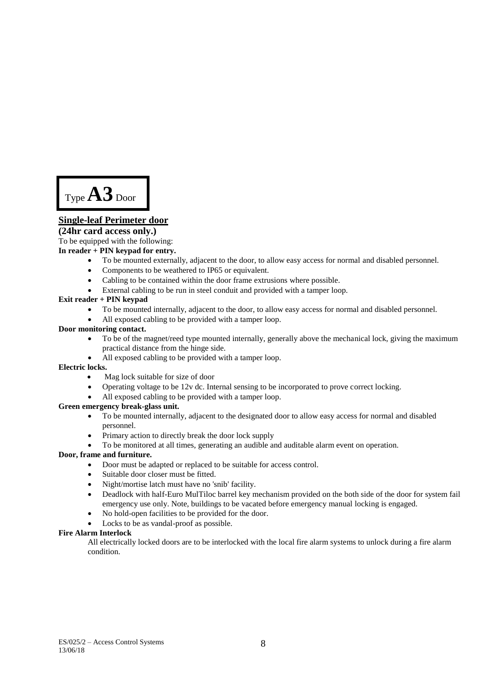Type **A3** Door

## **Single-leaf Perimeter door**

#### **(24hr card access only.)**

To be equipped with the following:

#### **In reader + PIN keypad for entry.**

- To be mounted externally, adjacent to the door, to allow easy access for normal and disabled personnel.
- Components to be weathered to IP65 or equivalent.
- Cabling to be contained within the door frame extrusions where possible.
- External cabling to be run in steel conduit and provided with a tamper loop.

#### **Exit reader + PIN keypad**

- To be mounted internally, adjacent to the door, to allow easy access for normal and disabled personnel.
- All exposed cabling to be provided with a tamper loop.

#### **Door monitoring contact.**

- To be of the magnet/reed type mounted internally, generally above the mechanical lock, giving the maximum practical distance from the hinge side.
- All exposed cabling to be provided with a tamper loop.

#### **Electric locks.**

- Mag lock suitable for size of door
- Operating voltage to be 12v dc. Internal sensing to be incorporated to prove correct locking.
- All exposed cabling to be provided with a tamper loop.

#### **Green emergency break-glass unit.**

- To be mounted internally, adjacent to the designated door to allow easy access for normal and disabled personnel.
- Primary action to directly break the door lock supply
- To be monitored at all times, generating an audible and auditable alarm event on operation.

#### **Door, frame and furniture.**

- Door must be adapted or replaced to be suitable for access control.
- Suitable door closer must be fitted.
- Night/mortise latch must have no 'snib' facility.
- Deadlock with half-Euro MulTiloc barrel key mechanism provided on the both side of the door for system fail emergency use only. Note, buildings to be vacated before emergency manual locking is engaged.
- No hold-open facilities to be provided for the door.
- Locks to be as vandal-proof as possible.

#### **Fire Alarm Interlock**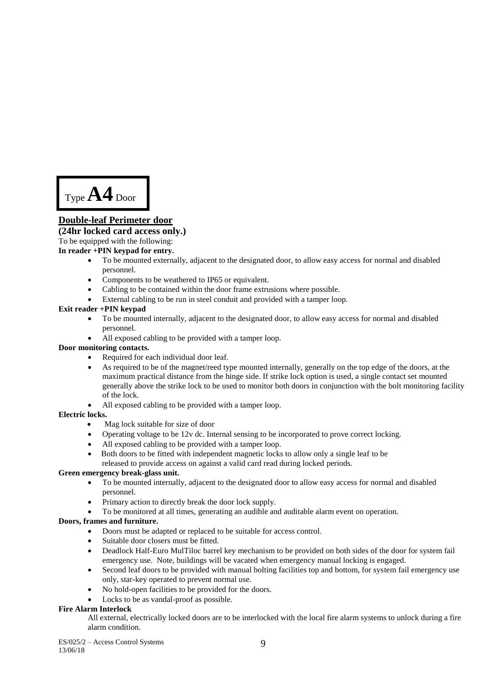Type **A4** Door

# **Double-leaf Perimeter door**

## **(24hr locked card access only.)**

To be equipped with the following:

#### **In reader +PIN keypad for entry.**

- To be mounted externally, adjacent to the designated door, to allow easy access for normal and disabled personnel.
- Components to be weathered to IP65 or equivalent.
- Cabling to be contained within the door frame extrusions where possible.
- External cabling to be run in steel conduit and provided with a tamper loop.

#### **Exit reader +PIN keypad**

- To be mounted internally, adjacent to the designated door, to allow easy access for normal and disabled personnel.
- All exposed cabling to be provided with a tamper loop.

#### **Door monitoring contacts.**

- Required for each individual door leaf.
- As required to be of the magnet/reed type mounted internally, generally on the top edge of the doors, at the maximum practical distance from the hinge side. If strike lock option is used, a single contact set mounted generally above the strike lock to be used to monitor both doors in conjunction with the bolt monitoring facility of the lock.
- All exposed cabling to be provided with a tamper loop.

#### **Electric locks.**

- Mag lock suitable for size of door
- Operating voltage to be 12v dc. Internal sensing to be incorporated to prove correct locking.
- All exposed cabling to be provided with a tamper loop.
- Both doors to be fitted with independent magnetic locks to allow only a single leaf to be released to provide access on against a valid card read during locked periods.

## **Green emergency break-glass unit.**

- To be mounted internally, adjacent to the designated door to allow easy access for normal and disabled personnel.
- Primary action to directly break the door lock supply.
- To be monitored at all times, generating an audible and auditable alarm event on operation.

## **Doors, frames and furniture.**

- Doors must be adapted or replaced to be suitable for access control.
- Suitable door closers must be fitted.
- Deadlock Half-Euro MulTiloc barrel key mechanism to be provided on both sides of the door for system fail emergency use. Note, buildings will be vacated when emergency manual locking is engaged.
- Second leaf doors to be provided with manual bolting facilities top and bottom, for system fail emergency use only, star-key operated to prevent normal use.
- No hold-open facilities to be provided for the doors.
- Locks to be as vandal-proof as possible.

## **Fire Alarm Interlock**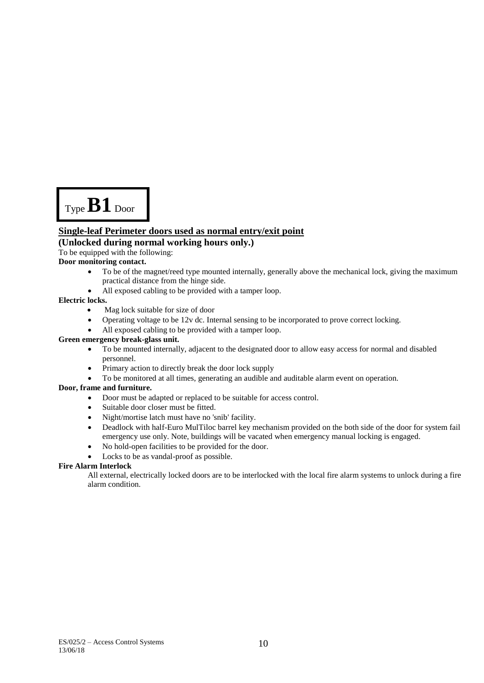Type **B1** Door

## **Single-leaf Perimeter doors used as normal entry/exit point**

## **(Unlocked during normal working hours only.)**

To be equipped with the following:

#### **Door monitoring contact.**

- To be of the magnet/reed type mounted internally, generally above the mechanical lock, giving the maximum practical distance from the hinge side.
- All exposed cabling to be provided with a tamper loop.

#### **Electric locks.**

- Mag lock suitable for size of door
- Operating voltage to be 12v dc. Internal sensing to be incorporated to prove correct locking.
- All exposed cabling to be provided with a tamper loop.

#### **Green emergency break-glass unit.**

- To be mounted internally, adjacent to the designated door to allow easy access for normal and disabled personnel.
- Primary action to directly break the door lock supply
- To be monitored at all times, generating an audible and auditable alarm event on operation.

#### **Door, frame and furniture.**

- Door must be adapted or replaced to be suitable for access control.
- Suitable door closer must be fitted.
- Night/mortise latch must have no 'snib' facility.
- Deadlock with half-Euro MulTiloc barrel key mechanism provided on the both side of the door for system fail emergency use only. Note, buildings will be vacated when emergency manual locking is engaged.
- No hold-open facilities to be provided for the door.
- Locks to be as vandal-proof as possible.

#### **Fire Alarm Interlock**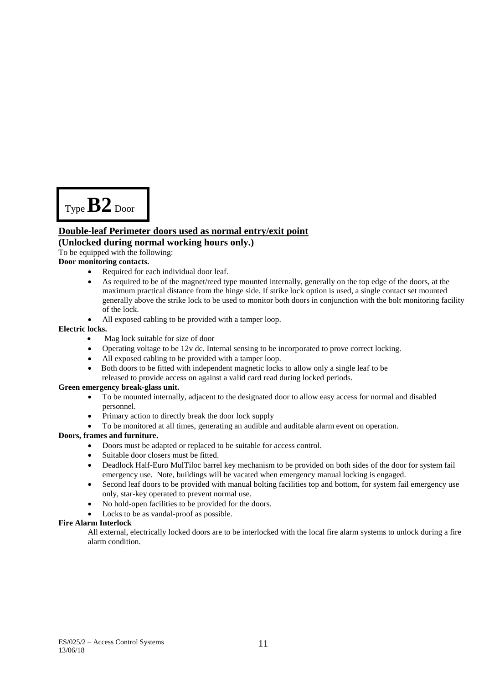Type **B2** Door

## **Double-leaf Perimeter doors used as normal entry/exit point**

## **(Unlocked during normal working hours only.)**

To be equipped with the following:

## **Door monitoring contacts.**

- Required for each individual door leaf.
- As required to be of the magnet/reed type mounted internally, generally on the top edge of the doors, at the maximum practical distance from the hinge side. If strike lock option is used, a single contact set mounted generally above the strike lock to be used to monitor both doors in conjunction with the bolt monitoring facility of the lock.
- All exposed cabling to be provided with a tamper loop.

#### **Electric locks.**

- Mag lock suitable for size of door
- Operating voltage to be 12v dc. Internal sensing to be incorporated to prove correct locking.
- All exposed cabling to be provided with a tamper loop.
- Both doors to be fitted with independent magnetic locks to allow only a single leaf to be released to provide access on against a valid card read during locked periods.

#### **Green emergency break-glass unit.**

- To be mounted internally, adjacent to the designated door to allow easy access for normal and disabled personnel.
- Primary action to directly break the door lock supply
- To be monitored at all times, generating an audible and auditable alarm event on operation.

## **Doors, frames and furniture.**

- Doors must be adapted or replaced to be suitable for access control.
- Suitable door closers must be fitted.
- Deadlock Half-Euro MulTiloc barrel key mechanism to be provided on both sides of the door for system fail emergency use. Note, buildings will be vacated when emergency manual locking is engaged.
- Second leaf doors to be provided with manual bolting facilities top and bottom, for system fail emergency use only, star-key operated to prevent normal use.
- No hold-open facilities to be provided for the doors.
- Locks to be as vandal-proof as possible.

#### **Fire Alarm Interlock**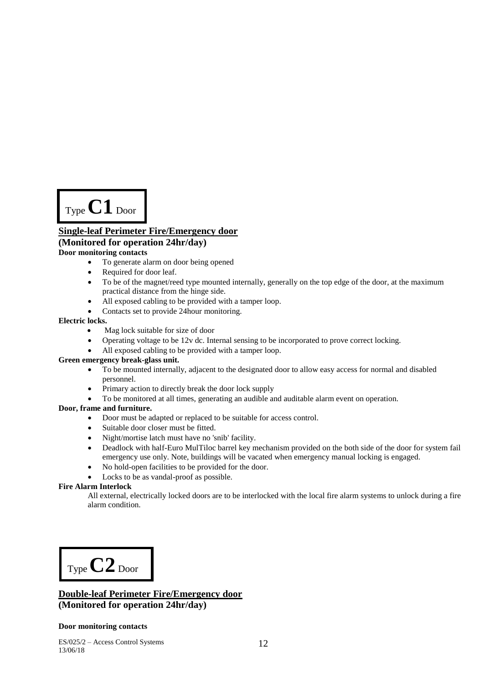Type **C1** Door

## **Single-leaf Perimeter Fire/Emergency door (Monitored for operation 24hr/day) Door monitoring contacts**

- To generate alarm on door being opened
- Required for door leaf.
- To be of the magnet/reed type mounted internally, generally on the top edge of the door, at the maximum practical distance from the hinge side.
- All exposed cabling to be provided with a tamper loop.
- Contacts set to provide 24hour monitoring.

#### **Electric locks.**

- Mag lock suitable for size of door
- Operating voltage to be 12v dc. Internal sensing to be incorporated to prove correct locking.
- All exposed cabling to be provided with a tamper loop.

#### **Green emergency break-glass unit.**

- To be mounted internally, adjacent to the designated door to allow easy access for normal and disabled personnel.
- Primary action to directly break the door lock supply
- To be monitored at all times, generating an audible and auditable alarm event on operation.

#### **Door, frame and furniture.**

- Door must be adapted or replaced to be suitable for access control.
- Suitable door closer must be fitted.
- Night/mortise latch must have no 'snib' facility.
- Deadlock with half-Euro MulTiloc barrel key mechanism provided on the both side of the door for system fail emergency use only. Note, buildings will be vacated when emergency manual locking is engaged.
- No hold-open facilities to be provided for the door.
- Locks to be as vandal-proof as possible.

#### **Fire Alarm Interlock**

All external, electrically locked doors are to be interlocked with the local fire alarm systems to unlock during a fire alarm condition.

Type **C2** Door

## **Double-leaf Perimeter Fire/Emergency door (Monitored for operation 24hr/day)**

#### **Door monitoring contacts**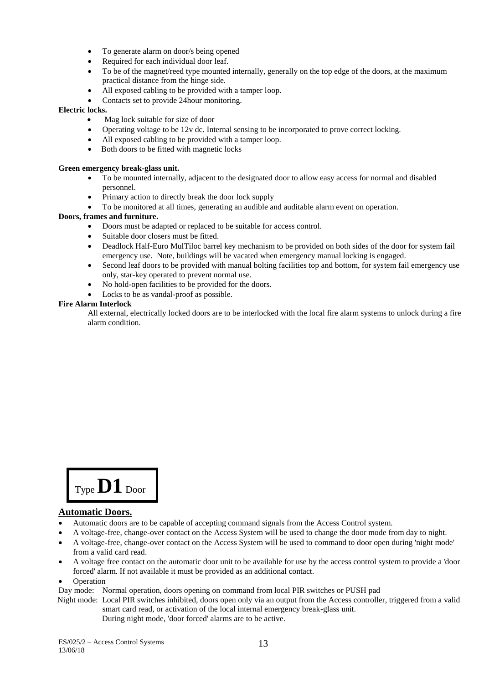- To generate alarm on door/s being opened
- Required for each individual door leaf.
- To be of the magnet/reed type mounted internally, generally on the top edge of the doors, at the maximum practical distance from the hinge side.
- All exposed cabling to be provided with a tamper loop.
- Contacts set to provide 24hour monitoring.

## **Electric locks.**

- Mag lock suitable for size of door
- Operating voltage to be 12v dc. Internal sensing to be incorporated to prove correct locking.
- All exposed cabling to be provided with a tamper loop.
- Both doors to be fitted with magnetic locks

#### **Green emergency break-glass unit.**

- To be mounted internally, adjacent to the designated door to allow easy access for normal and disabled personnel.
- Primary action to directly break the door lock supply
- To be monitored at all times, generating an audible and auditable alarm event on operation.

#### **Doors, frames and furniture.**

- Doors must be adapted or replaced to be suitable for access control.
- Suitable door closers must be fitted.
- Deadlock Half-Euro MulTiloc barrel key mechanism to be provided on both sides of the door for system fail emergency use. Note, buildings will be vacated when emergency manual locking is engaged.
- Second leaf doors to be provided with manual bolting facilities top and bottom, for system fail emergency use only, star-key operated to prevent normal use.
- No hold-open facilities to be provided for the doors.
- Locks to be as vandal-proof as possible.

#### **Fire Alarm Interlock**

All external, electrically locked doors are to be interlocked with the local fire alarm systems to unlock during a fire alarm condition.



## **Automatic Doors.**

- Automatic doors are to be capable of accepting command signals from the Access Control system.
- A voltage-free, change-over contact on the Access System will be used to change the door mode from day to night.
- A voltage-free, change-over contact on the Access System will be used to command to door open during 'night mode' from a valid card read.
- A voltage free contact on the automatic door unit to be available for use by the access control system to provide a 'door forced' alarm. If not available it must be provided as an additional contact.

#### Operation

Day mode: Normal operation, doors opening on command from local PIR switches or PUSH pad

 Night mode: Local PIR switches inhibited, doors open only via an output from the Access controller, triggered from a valid smart card read, or activation of the local internal emergency break-glass unit.

During night mode, 'door forced' alarms are to be active.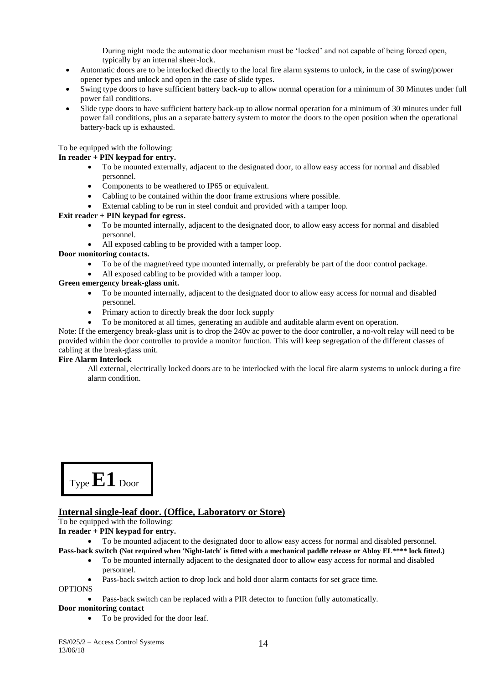During night mode the automatic door mechanism must be 'locked' and not capable of being forced open, typically by an internal sheer-lock.

- Automatic doors are to be interlocked directly to the local fire alarm systems to unlock, in the case of swing/power opener types and unlock and open in the case of slide types.
- Swing type doors to have sufficient battery back-up to allow normal operation for a minimum of 30 Minutes under full power fail conditions.
- Slide type doors to have sufficient battery back-up to allow normal operation for a minimum of 30 minutes under full power fail conditions, plus an a separate battery system to motor the doors to the open position when the operational battery-back up is exhausted.

#### To be equipped with the following:

#### **In reader + PIN keypad for entry.**

- To be mounted externally, adjacent to the designated door, to allow easy access for normal and disabled personnel.
- Components to be weathered to IP65 or equivalent.
- Cabling to be contained within the door frame extrusions where possible.
- External cabling to be run in steel conduit and provided with a tamper loop.

#### **Exit reader + PIN keypad for egress.**

- To be mounted internally, adjacent to the designated door, to allow easy access for normal and disabled personnel.
- All exposed cabling to be provided with a tamper loop.

#### **Door monitoring contacts.**

- To be of the magnet/reed type mounted internally, or preferably be part of the door control package.
- All exposed cabling to be provided with a tamper loop.

#### **Green emergency break-glass unit.**

- To be mounted internally, adjacent to the designated door to allow easy access for normal and disabled personnel.
- Primary action to directly break the door lock supply
- To be monitored at all times, generating an audible and auditable alarm event on operation.

Note: If the emergency break-glass unit is to drop the 240v ac power to the door controller, a no-volt relay will need to be provided within the door controller to provide a monitor function. This will keep segregation of the different classes of cabling at the break-glass unit.

#### **Fire Alarm Interlock**

All external, electrically locked doors are to be interlocked with the local fire alarm systems to unlock during a fire alarm condition.



## **Internal single-leaf door. (Office, Laboratory or Store)**

To be equipped with the following:

**In reader + PIN keypad for entry.** 

To be mounted adjacent to the designated door to allow easy access for normal and disabled personnel.

- **Pass-back switch (Not required when 'Night-latch' is fitted with a mechanical paddle release or Abloy EL\*\*\*\* lock fitted.)**
	- To be mounted internally adjacent to the designated door to allow easy access for normal and disabled personnel.
	- Pass-back switch action to drop lock and hold door alarm contacts for set grace time.

OPTIONS

Pass-back switch can be replaced with a PIR detector to function fully automatically.

## **Door monitoring contact**

• To be provided for the door leaf.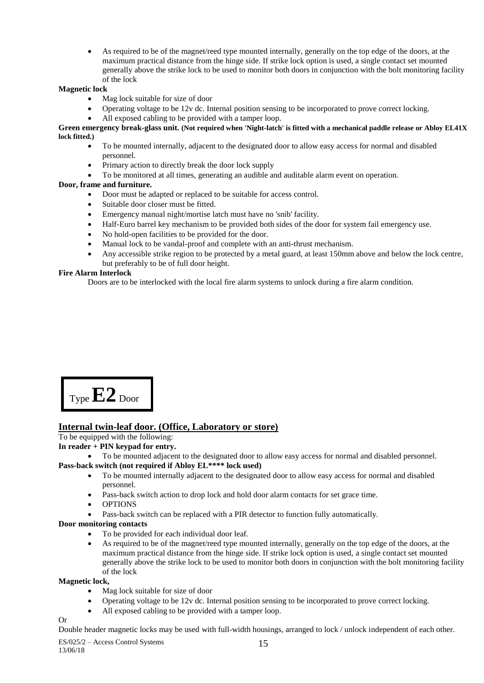As required to be of the magnet/reed type mounted internally, generally on the top edge of the doors, at the maximum practical distance from the hinge side. If strike lock option is used, a single contact set mounted generally above the strike lock to be used to monitor both doors in conjunction with the bolt monitoring facility of the lock

## **Magnetic lock**

- Mag lock suitable for size of door
- Operating voltage to be 12v dc. Internal position sensing to be incorporated to prove correct locking.
- All exposed cabling to be provided with a tamper loop.

#### **Green emergency break-glass unit. (Not required when 'Night-latch' is fitted with a mechanical paddle release or Abloy EL41X lock fitted.)**

- To be mounted internally, adjacent to the designated door to allow easy access for normal and disabled personnel.
- Primary action to directly break the door lock supply
- To be monitored at all times, generating an audible and auditable alarm event on operation.

## **Door, frame and furniture.**

- Door must be adapted or replaced to be suitable for access control.
- Suitable door closer must be fitted.
- Emergency manual night/mortise latch must have no 'snib' facility.
- Half-Euro barrel key mechanism to be provided both sides of the door for system fail emergency use.
- No hold-open facilities to be provided for the door.
- Manual lock to be vandal-proof and complete with an anti-thrust mechanism.
- Any accessible strike region to be protected by a metal guard, at least 150mm above and below the lock centre, but preferably to be of full door height.

## **Fire Alarm Interlock**

Doors are to be interlocked with the local fire alarm systems to unlock during a fire alarm condition.

Type **E2** Door

# **Internal twin-leaf door. (Office, Laboratory or store)**

To be equipped with the following:

## **In reader + PIN keypad for entry.**

To be mounted adjacent to the designated door to allow easy access for normal and disabled personnel.

**Pass-back switch (not required if Abloy EL\*\*\*\* lock used)**

- To be mounted internally adjacent to the designated door to allow easy access for normal and disabled personnel.
- Pass-back switch action to drop lock and hold door alarm contacts for set grace time.
- OPTIONS
- Pass-back switch can be replaced with a PIR detector to function fully automatically.

## **Door monitoring contacts**

- To be provided for each individual door leaf.
- As required to be of the magnet/reed type mounted internally, generally on the top edge of the doors, at the maximum practical distance from the hinge side. If strike lock option is used, a single contact set mounted generally above the strike lock to be used to monitor both doors in conjunction with the bolt monitoring facility of the lock

## **Magnetic lock,**

- Mag lock suitable for size of door
- Operating voltage to be 12v dc. Internal position sensing to be incorporated to prove correct locking.
- All exposed cabling to be provided with a tamper loop.

## Or

Double header magnetic locks may be used with full-width housings, arranged to lock / unlock independent of each other.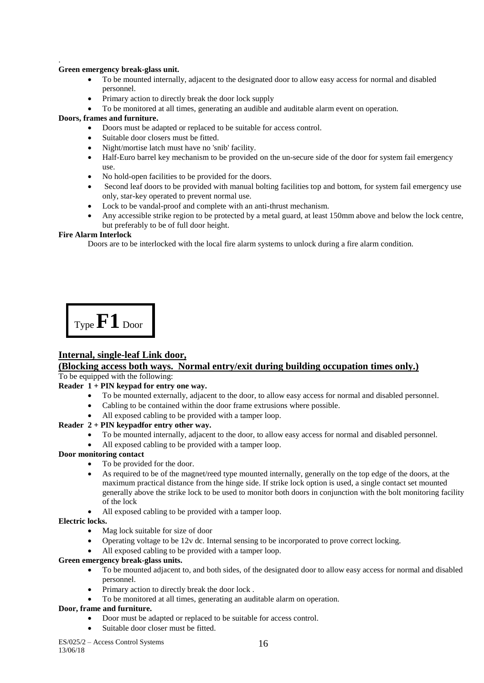#### . **Green emergency break-glass unit.**

- To be mounted internally, adjacent to the designated door to allow easy access for normal and disabled personnel.
- Primary action to directly break the door lock supply
- To be monitored at all times, generating an audible and auditable alarm event on operation.

#### **Doors, frames and furniture.**

- Doors must be adapted or replaced to be suitable for access control.
- Suitable door closers must be fitted.
- Night/mortise latch must have no 'snib' facility.
- Half-Euro barrel key mechanism to be provided on the un-secure side of the door for system fail emergency use.
- No hold-open facilities to be provided for the doors.
- Second leaf doors to be provided with manual bolting facilities top and bottom, for system fail emergency use only, star-key operated to prevent normal use.
- Lock to be vandal-proof and complete with an anti-thrust mechanism.
- Any accessible strike region to be protected by a metal guard, at least 150mm above and below the lock centre, but preferably to be of full door height.

#### **Fire Alarm Interlock**

Doors are to be interlocked with the local fire alarm systems to unlock during a fire alarm condition.

Type **F1** Door

# **Internal, single-leaf Link door,**

# **(Blocking access both ways. Normal entry/exit during building occupation times only.)**

To be equipped with the following:

## **Reader 1 + PIN keypad for entry one way.**

- To be mounted externally, adjacent to the door, to allow easy access for normal and disabled personnel.
	- Cabling to be contained within the door frame extrusions where possible.
- All exposed cabling to be provided with a tamper loop.

## **Reader 2 + PIN keypadfor entry other way.**

- To be mounted internally, adjacent to the door, to allow easy access for normal and disabled personnel.
- All exposed cabling to be provided with a tamper loop.

#### **Door monitoring contact**

- To be provided for the door.
- As required to be of the magnet/reed type mounted internally, generally on the top edge of the doors, at the maximum practical distance from the hinge side. If strike lock option is used, a single contact set mounted generally above the strike lock to be used to monitor both doors in conjunction with the bolt monitoring facility of the lock
- All exposed cabling to be provided with a tamper loop.

#### **Electric locks.**

- Mag lock suitable for size of door
- Operating voltage to be 12v dc. Internal sensing to be incorporated to prove correct locking.
- All exposed cabling to be provided with a tamper loop.

#### **Green emergency break-glass units.**

- To be mounted adjacent to, and both sides, of the designated door to allow easy access for normal and disabled personnel.
- Primary action to directly break the door lock.
- To be monitored at all times, generating an auditable alarm on operation.

#### **Door, frame and furniture.**

- Door must be adapted or replaced to be suitable for access control.
- Suitable door closer must be fitted.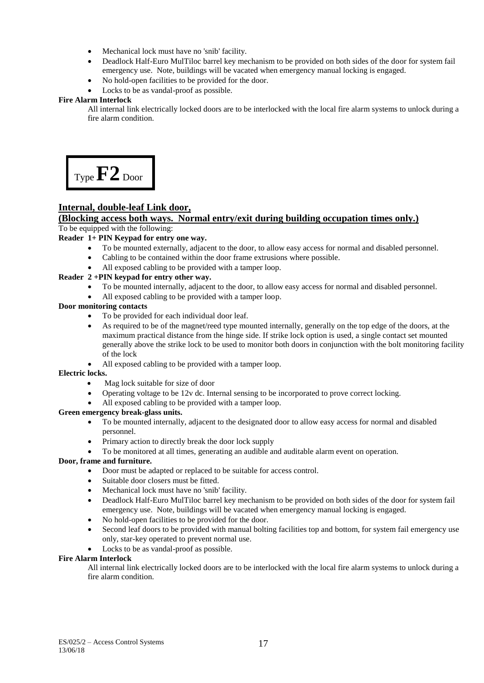- Mechanical lock must have no 'snib' facility.
- Deadlock Half-Euro MulTiloc barrel key mechanism to be provided on both sides of the door for system fail emergency use. Note, buildings will be vacated when emergency manual locking is engaged.
- No hold-open facilities to be provided for the door.
- Locks to be as vandal-proof as possible.

#### **Fire Alarm Interlock**

All internal link electrically locked doors are to be interlocked with the local fire alarm systems to unlock during a fire alarm condition.



## **Internal, double-leaf Link door,**

#### **(Blocking access both ways. Normal entry/exit during building occupation times only.)** To be equipped with the following:

#### **Reader 1+ PIN Keypad for entry one way.**

- To be mounted externally, adjacent to the door, to allow easy access for normal and disabled personnel.
- Cabling to be contained within the door frame extrusions where possible.
- All exposed cabling to be provided with a tamper loop.

## **Reader 2 +PIN keypad for entry other way.**

- To be mounted internally, adjacent to the door, to allow easy access for normal and disabled personnel.
- All exposed cabling to be provided with a tamper loop.

#### **Door monitoring contacts**

- To be provided for each individual door leaf.
- As required to be of the magnet/reed type mounted internally, generally on the top edge of the doors, at the maximum practical distance from the hinge side. If strike lock option is used, a single contact set mounted generally above the strike lock to be used to monitor both doors in conjunction with the bolt monitoring facility of the lock
- All exposed cabling to be provided with a tamper loop.

#### **Electric locks.**

- Mag lock suitable for size of door
- Operating voltage to be 12v dc. Internal sensing to be incorporated to prove correct locking.
- All exposed cabling to be provided with a tamper loop.

#### **Green emergency break-glass units.**

- To be mounted internally, adjacent to the designated door to allow easy access for normal and disabled personnel.
- Primary action to directly break the door lock supply

To be monitored at all times, generating an audible and auditable alarm event on operation.

## **Door, frame and furniture.**

- Door must be adapted or replaced to be suitable for access control.
- Suitable door closers must be fitted.
- Mechanical lock must have no 'snib' facility.
- Deadlock Half-Euro MulTiloc barrel key mechanism to be provided on both sides of the door for system fail emergency use. Note, buildings will be vacated when emergency manual locking is engaged.
- No hold-open facilities to be provided for the door.
- Second leaf doors to be provided with manual bolting facilities top and bottom, for system fail emergency use only, star-key operated to prevent normal use.
- Locks to be as vandal-proof as possible.

#### **Fire Alarm Interlock**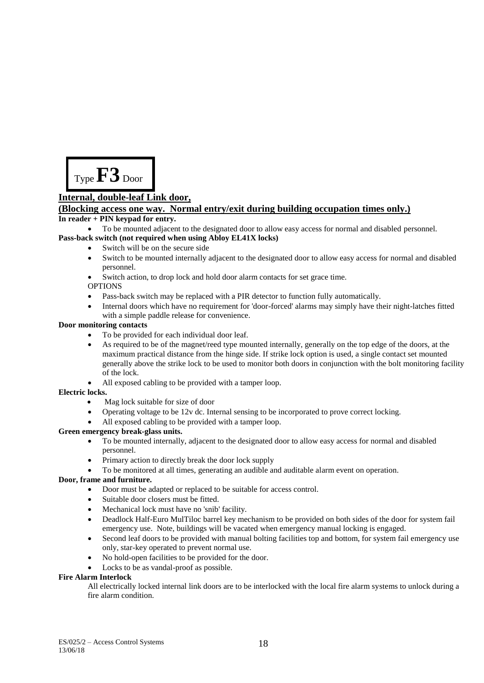

## **Internal, double-leaf Link door,**

## **(Blocking access one way. Normal entry/exit during building occupation times only.)**

#### **In reader + PIN keypad for entry.**

To be mounted adjacent to the designated door to allow easy access for normal and disabled personnel.

## **Pass-back switch (not required when using Abloy EL41X locks)**

- Switch will be on the secure side
- Switch to be mounted internally adjacent to the designated door to allow easy access for normal and disabled personnel.
- Switch action, to drop lock and hold door alarm contacts for set grace time.

#### OPTIONS

- Pass-back switch may be replaced with a PIR detector to function fully automatically.
- Internal doors which have no requirement for 'door-forced' alarms may simply have their night-latches fitted with a simple paddle release for convenience.

#### **Door monitoring contacts**

- To be provided for each individual door leaf.
- As required to be of the magnet/reed type mounted internally, generally on the top edge of the doors, at the maximum practical distance from the hinge side. If strike lock option is used, a single contact set mounted generally above the strike lock to be used to monitor both doors in conjunction with the bolt monitoring facility of the lock.
- All exposed cabling to be provided with a tamper loop.

## **Electric locks.**

- Mag lock suitable for size of door
- Operating voltage to be 12v dc. Internal sensing to be incorporated to prove correct locking.
- All exposed cabling to be provided with a tamper loop.

## **Green emergency break-glass units.**

- To be mounted internally, adjacent to the designated door to allow easy access for normal and disabled personnel.
- Primary action to directly break the door lock supply
- To be monitored at all times, generating an audible and auditable alarm event on operation.

## **Door, frame and furniture.**

- Door must be adapted or replaced to be suitable for access control.
- Suitable door closers must be fitted.
- Mechanical lock must have no 'snib' facility.
- Deadlock Half-Euro MulTiloc barrel key mechanism to be provided on both sides of the door for system fail emergency use. Note, buildings will be vacated when emergency manual locking is engaged.
- Second leaf doors to be provided with manual bolting facilities top and bottom, for system fail emergency use only, star-key operated to prevent normal use.
- No hold-open facilities to be provided for the door.
- Locks to be as vandal-proof as possible.

## **Fire Alarm Interlock**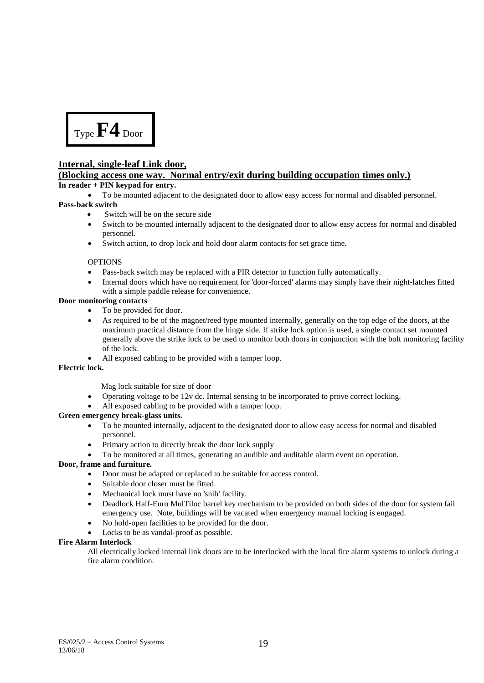

## **Internal, single-leaf Link door,**

## **(Blocking access one way. Normal entry/exit during building occupation times only.)**

#### **In reader + PIN keypad for entry.**

To be mounted adjacent to the designated door to allow easy access for normal and disabled personnel.

#### **Pass-back switch**

- Switch will be on the secure side
- Switch to be mounted internally adjacent to the designated door to allow easy access for normal and disabled personnel.
- Switch action, to drop lock and hold door alarm contacts for set grace time.

#### **OPTIONS**

- Pass-back switch may be replaced with a PIR detector to function fully automatically.
- Internal doors which have no requirement for 'door-forced' alarms may simply have their night-latches fitted with a simple paddle release for convenience.

#### **Door monitoring contacts**

- To be provided for door.
- As required to be of the magnet/reed type mounted internally, generally on the top edge of the doors, at the maximum practical distance from the hinge side. If strike lock option is used, a single contact set mounted generally above the strike lock to be used to monitor both doors in conjunction with the bolt monitoring facility of the lock.
- All exposed cabling to be provided with a tamper loop.

## **Electric lock.**

Mag lock suitable for size of door

- Operating voltage to be 12v dc. Internal sensing to be incorporated to prove correct locking.
- All exposed cabling to be provided with a tamper loop.

## **Green emergency break-glass units.**

- To be mounted internally, adjacent to the designated door to allow easy access for normal and disabled personnel.
- Primary action to directly break the door lock supply
- To be monitored at all times, generating an audible and auditable alarm event on operation.

## **Door, frame and furniture.**

- Door must be adapted or replaced to be suitable for access control.
- Suitable door closer must be fitted.
- Mechanical lock must have no 'snib' facility.
- Deadlock Half-Euro MulTiloc barrel key mechanism to be provided on both sides of the door for system fail emergency use. Note, buildings will be vacated when emergency manual locking is engaged.
- No hold-open facilities to be provided for the door.
- Locks to be as vandal-proof as possible.

## **Fire Alarm Interlock**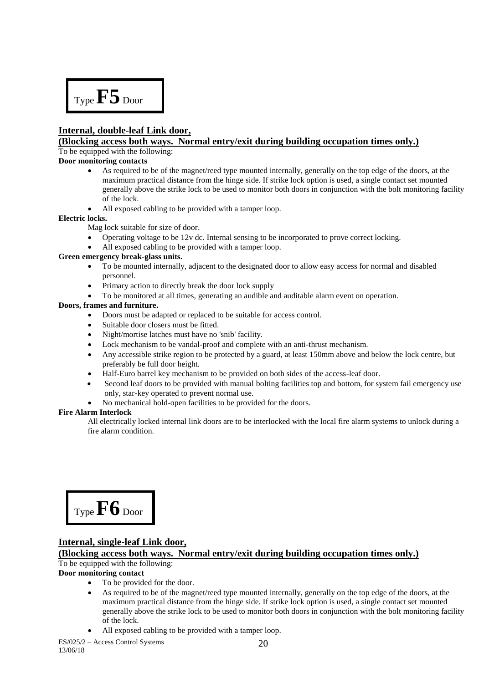Type **F5** Door

# **Internal, double-leaf Link door,**

## **(Blocking access both ways. Normal entry/exit during building occupation times only.)**

To be equipped with the following:

#### **Door monitoring contacts**

- As required to be of the magnet/reed type mounted internally, generally on the top edge of the doors, at the maximum practical distance from the hinge side. If strike lock option is used, a single contact set mounted generally above the strike lock to be used to monitor both doors in conjunction with the bolt monitoring facility of the lock.
- All exposed cabling to be provided with a tamper loop.

#### **Electric locks.**

Mag lock suitable for size of door.

- Operating voltage to be 12v dc. Internal sensing to be incorporated to prove correct locking.
- All exposed cabling to be provided with a tamper loop.

#### **Green emergency break-glass units.**

- To be mounted internally, adjacent to the designated door to allow easy access for normal and disabled personnel.
- Primary action to directly break the door lock supply
- To be monitored at all times, generating an audible and auditable alarm event on operation.

#### **Doors, frames and furniture.**

- Doors must be adapted or replaced to be suitable for access control.
- Suitable door closers must be fitted.
- Night/mortise latches must have no 'snib' facility.
- Lock mechanism to be vandal-proof and complete with an anti-thrust mechanism.
- Any accessible strike region to be protected by a guard, at least 150mm above and below the lock centre, but preferably be full door height.
- Half-Euro barrel key mechanism to be provided on both sides of the access-leaf door.
- Second leaf doors to be provided with manual bolting facilities top and bottom, for system fail emergency use only, star-key operated to prevent normal use.
- No mechanical hold-open facilities to be provided for the doors.

#### **Fire Alarm Interlock**

All electrically locked internal link doors are to be interlocked with the local fire alarm systems to unlock during a fire alarm condition.

Type **F6** Door

## **Internal, single-leaf Link door,**

# **(Blocking access both ways. Normal entry/exit during building occupation times only.)**

# To be equipped with the following:

## **Door monitoring contact**

- To be provided for the door.
- As required to be of the magnet/reed type mounted internally, generally on the top edge of the doors, at the maximum practical distance from the hinge side. If strike lock option is used, a single contact set mounted generally above the strike lock to be used to monitor both doors in conjunction with the bolt monitoring facility of the lock.
- All exposed cabling to be provided with a tamper loop.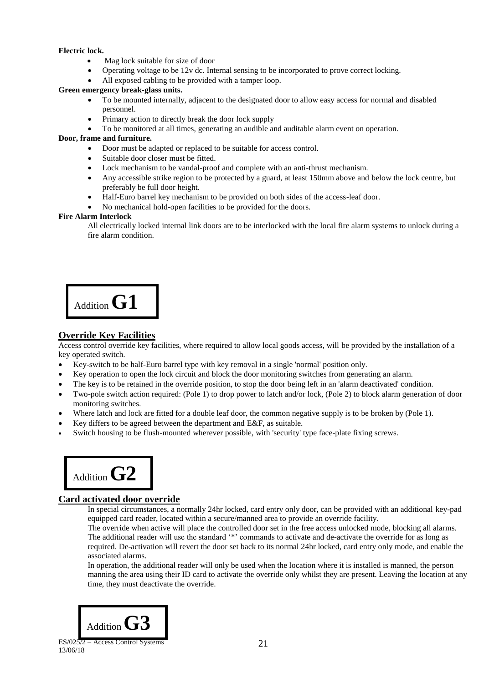#### **Electric lock.**

- Mag lock suitable for size of door
- Operating voltage to be 12v dc. Internal sensing to be incorporated to prove correct locking.
- All exposed cabling to be provided with a tamper loop.

#### **Green emergency break-glass units.**

- To be mounted internally, adjacent to the designated door to allow easy access for normal and disabled personnel.
- Primary action to directly break the door lock supply
- To be monitored at all times, generating an audible and auditable alarm event on operation.

#### **Door, frame and furniture.**

- Door must be adapted or replaced to be suitable for access control.
- Suitable door closer must be fitted.
- Lock mechanism to be vandal-proof and complete with an anti-thrust mechanism.
- Any accessible strike region to be protected by a guard, at least 150mm above and below the lock centre, but preferably be full door height.
- Half-Euro barrel key mechanism to be provided on both sides of the access-leaf door.
- No mechanical hold-open facilities to be provided for the doors.

#### **Fire Alarm Interlock**

All electrically locked internal link doors are to be interlocked with the local fire alarm systems to unlock during a fire alarm condition.

Addition **G1**

## **Override Key Facilities**

Access control override key facilities, where required to allow local goods access, will be provided by the installation of a key operated switch.

- Key-switch to be half-Euro barrel type with key removal in a single 'normal' position only.
- Key operation to open the lock circuit and block the door monitoring switches from generating an alarm.
- The key is to be retained in the override position, to stop the door being left in an 'alarm deactivated' condition.
- Two-pole switch action required: (Pole 1) to drop power to latch and/or lock, (Pole 2) to block alarm generation of door monitoring switches.
- Where latch and lock are fitted for a double leaf door, the common negative supply is to be broken by (Pole 1).
- Key differs to be agreed between the department and E&F, as suitable.
- Switch housing to be flush-mounted wherever possible, with 'security' type face-plate fixing screws.



## **Card activated door override**

In special circumstances, a normally 24hr locked, card entry only door, can be provided with an additional key-pad equipped card reader, located within a secure/manned area to provide an override facility.

The override when active will place the controlled door set in the free access unlocked mode, blocking all alarms. The additional reader will use the standard '\*' commands to activate and de-activate the override for as long as required. De-activation will revert the door set back to its normal 24hr locked, card entry only mode, and enable the associated alarms.

In operation, the additional reader will only be used when the location where it is installed is manned, the person manning the area using their ID card to activate the override only whilst they are present. Leaving the location at any time, they must deactivate the override.

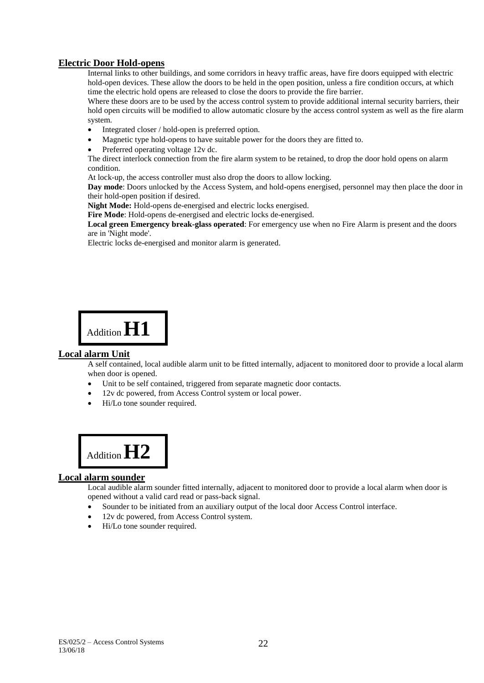## **Electric Door Hold-opens**

Internal links to other buildings, and some corridors in heavy traffic areas, have fire doors equipped with electric hold-open devices. These allow the doors to be held in the open position, unless a fire condition occurs, at which time the electric hold opens are released to close the doors to provide the fire barrier.

Where these doors are to be used by the access control system to provide additional internal security barriers, their hold open circuits will be modified to allow automatic closure by the access control system as well as the fire alarm system.

- Integrated closer / hold-open is preferred option.
- Magnetic type hold-opens to have suitable power for the doors they are fitted to.
- Preferred operating voltage 12v dc.

The direct interlock connection from the fire alarm system to be retained, to drop the door hold opens on alarm condition.

At lock-up, the access controller must also drop the doors to allow locking.

**Day mode**: Doors unlocked by the Access System, and hold-opens energised, personnel may then place the door in their hold-open position if desired.

**Night Mode:** Hold-opens de-energised and electric locks energised.

**Fire Mode**: Hold-opens de-energised and electric locks de-energised.

**Local green Emergency break-glass operated**: For emergency use when no Fire Alarm is present and the doors are in 'Night mode'.

Electric locks de-energised and monitor alarm is generated.



## **Local alarm Unit**

A self contained, local audible alarm unit to be fitted internally, adjacent to monitored door to provide a local alarm when door is opened.

- Unit to be self contained, triggered from separate magnetic door contacts.
- 12v dc powered, from Access Control system or local power.
- Hi/Lo tone sounder required.



## **Local alarm sounder**

Local audible alarm sounder fitted internally, adjacent to monitored door to provide a local alarm when door is opened without a valid card read or pass-back signal.

- Sounder to be initiated from an auxiliary output of the local door Access Control interface.
- 12v dc powered, from Access Control system.
- Hi/Lo tone sounder required.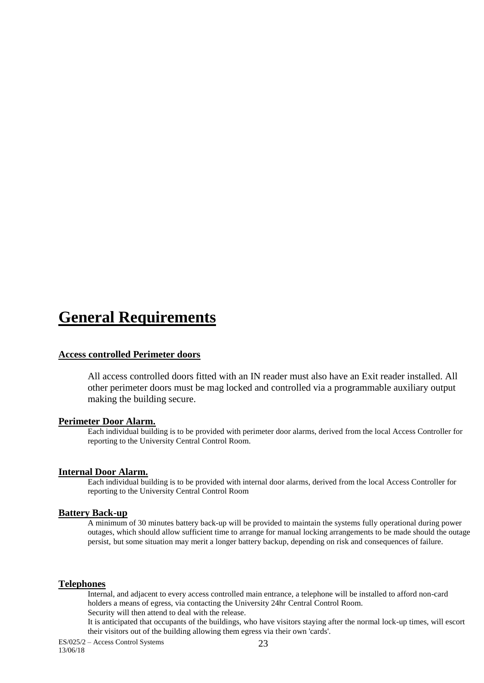# **General Requirements**

## **Access controlled Perimeter doors**

All access controlled doors fitted with an IN reader must also have an Exit reader installed. All other perimeter doors must be mag locked and controlled via a programmable auxiliary output making the building secure.

#### **Perimeter Door Alarm.**

Each individual building is to be provided with perimeter door alarms, derived from the local Access Controller for reporting to the University Central Control Room.

## **Internal Door Alarm.**

Each individual building is to be provided with internal door alarms, derived from the local Access Controller for reporting to the University Central Control Room

#### **Battery Back-up**

A minimum of 30 minutes battery back-up will be provided to maintain the systems fully operational during power outages, which should allow sufficient time to arrange for manual locking arrangements to be made should the outage persist, but some situation may merit a longer battery backup, depending on risk and consequences of failure.

## **Telephones**

Internal, and adjacent to every access controlled main entrance, a telephone will be installed to afford non-card holders a means of egress, via contacting the University 24hr Central Control Room. Security will then attend to deal with the release.

It is anticipated that occupants of the buildings, who have visitors staying after the normal lock-up times, will escort their visitors out of the building allowing them egress via their own 'cards'.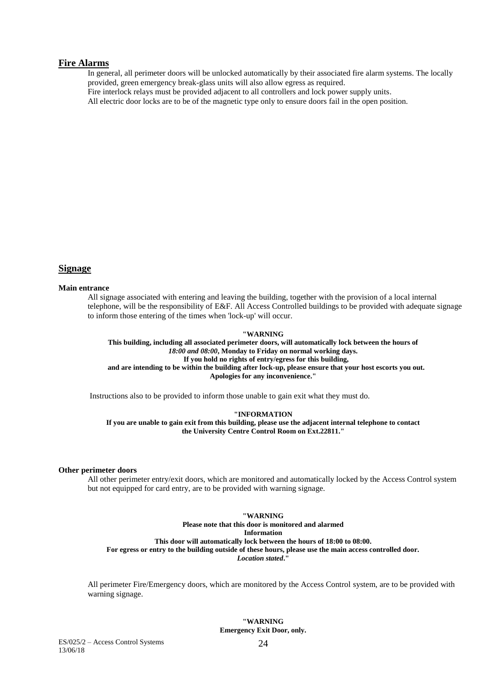#### **Fire Alarms**

In general, all perimeter doors will be unlocked automatically by their associated fire alarm systems. The locally provided, green emergency break-glass units will also allow egress as required.

Fire interlock relays must be provided adjacent to all controllers and lock power supply units.

All electric door locks are to be of the magnetic type only to ensure doors fail in the open position.

#### **Signage**

#### **Main entrance**

All signage associated with entering and leaving the building, together with the provision of a local internal telephone, will be the responsibility of E&F. All Access Controlled buildings to be provided with adequate signage to inform those entering of the times when 'lock-up' will occur.

#### **"WARNING**

**This building, including all associated perimeter doors, will automatically lock between the hours of**  *18:00 and 08:00***, Monday to Friday on normal working days. If you hold no rights of entry/egress for this building, and are intending to be within the building after lock-up, please ensure that your host escorts you out. Apologies for any inconvenience."**

Instructions also to be provided to inform those unable to gain exit what they must do.

#### **"INFORMATION**

**If you are unable to gain exit from this building, please use the adjacent internal telephone to contact the University Centre Control Room on Ext.22811."**

#### **Other perimeter doors**

All other perimeter entry/exit doors, which are monitored and automatically locked by the Access Control system but not equipped for card entry, are to be provided with warning signage.

# **"WARNING**

**Please note that this door is monitored and alarmed Information This door will automatically lock between the hours of 18:00 to 08:00. For egress or entry to the building outside of these hours, please use the main access controlled door.** *Location stated***."**

All perimeter Fire/Emergency doors, which are monitored by the Access Control system, are to be provided with warning signage.

#### **"WARNING Emergency Exit Door, only.**